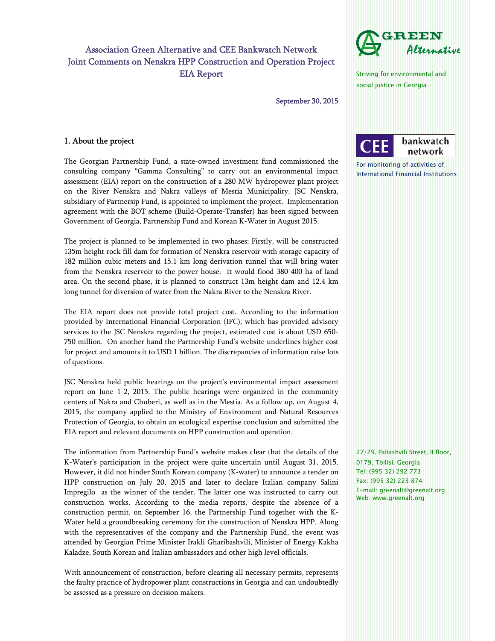# Association Green Alternative and CEE Bankwatch Network Joint Comments on Nenskra HPP Construction and Operation Project EIA Report

September 30, 2015

# 1. About the project

The Georgian Partnership Fund, a state-owned investment fund commissioned the consulting company "Gamma Consulting" to carry out an environmental impact assessment (EIA) report on the construction of a 280 MW hydropower plant project on the River Nenskra and Nakra valleys of Mestia Municipality. JSC Nenskra, subsidiary of Partnersip Fund, is appointed to implement the project. Implementation agreement with the BOT scheme (Build-Operate-Transfer) has been signed between Government of Georgia, Partnership Fund and Korean K-Water in August 2015.

The project is planned to be implemented in two phases: Firstly, will be constructed 135m height rock fill dam for formation of Nenskra reservoir with storage capacity of 182 million cubic meters and 15.1 km long derivation tunnel that will bring water from the Nenskra reservoir to the power house. It would flood 380-400 ha of land area. On the second phase, it is planned to construct 13m height dam and 12.4 km long tunnel for diversion of water from the Nakra River to the Nenskra River.

The EIA report does not provide total project cost. According to the information provided by International Financial Corporation (IFC), which has provided advisory services to the JSC Nenskra regarding the project, estimated cost is about USD 650- 750 million. On another hand the Partnership Fund's website underlines higher cost for project and amounts it to USD 1 billion. The discrepancies of information raise lots of questions.

JSC Nenskra held public hearings on the project's environmental impact assessment report on June 1-2, 2015. The public hearings were organized in the community centers of Nakra and Chuberi, as well as in the Mestia. As a follow up, on August 4, 2015, the company applied to the Ministry of Environment and Natural Resources Protection of Georgia, to obtain an ecological expertise conclusion and submitted the EIA report and relevant documents on HPP construction and operation.

The information from Partnership Fund's website makes clear that the details of the K-Water's participation in the project were quite uncertain until August 31, 2015. However, it did not hinder South Korean company (K-water) to announce a tender on HPP construction on July 20, 2015 and later to declare Italian company Salini Impregilo as the winner of the tender. The latter one was instructed to carry out construction works. According to the media reports, despite the absence of a construction permit, on September 16, the Partnership Fund together with the K-Water held a groundbreaking ceremony for the construction of Nenskra HPP. Along with the representatives of the company and the Partnership Fund, the event was attended by Georgian Prime Minister Irakli Gharibashvili, Minister of Energy Kakha Kaladze, South Korean and Italian ambassadors and other high level officials.

With announcement of construction, before clearing all necessary permits, represents the faulty practice of hydropower plant constructions in Georgia and can undoubtedly be assessed as a pressure on decision makers.

27/29, Paliashvili Street, II floor, 0179, Tbilisi, Georgia Tel: (995 32) 292 773 Fax: (995 32) 223 874 E-mail: greenalt@greenalt.org Web: www.greenalt.org



International Financial Institutions

Striving for environmental and social justice in Georgia

For monitoring of activities of

I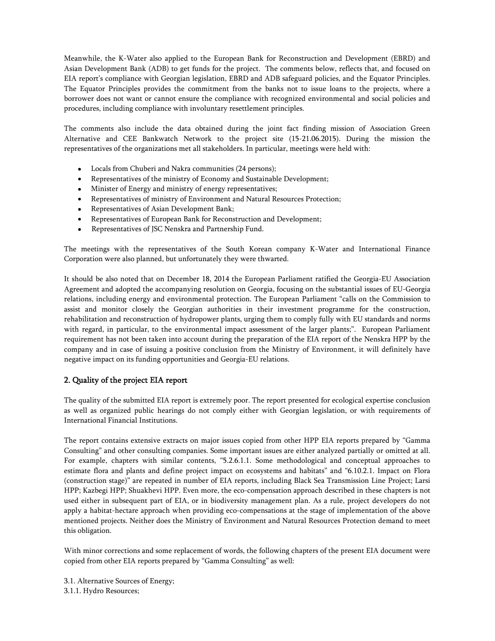Meanwhile, the K-Water also applied to the European Bank for Reconstruction and Development (EBRD) and Asian Development Bank (ADB) to get funds for the project. The comments below, reflects that, and focused on EIA report's compliance with Georgian legislation, EBRD and ADB safeguard policies, and the Equator Principles. The Equator Principles provides the commitment from the banks not to issue loans to the projects, where a borrower does not want or cannot ensure the compliance with recognized environmental and social policies and procedures, including compliance with involuntary resettlement principles.

The comments also include the data obtained during the joint fact finding mission of Association Green Alternative and CEE Bankwatch Network to the project site (15-21.06.2015). During the mission the representatives of the organizations met all stakeholders. In particular, meetings were held with:

- Locals from Chuberi and Nakra communities (24 persons);
- Representatives of the ministry of Economy and Sustainable Development;
- Minister of Energy and ministry of energy representatives;
- Representatives of ministry of Environment and Natural Resources Protection;
- Representatives of Asian Development Bank;
- Representatives of European Bank for Reconstruction and Development;
- Representatives of JSC Nenskra and Partnership Fund.

The meetings with the representatives of the South Korean company K-Water and International Finance Corporation were also planned, but unfortunately they were thwarted.

It should be also noted that on December 18, 2014 the European Parliament ratified the Georgia-EU Association Agreement and adopted the accompanying resolution on Georgia, focusing on the substantial issues of EU-Georgia relations, including energy and environmental protection. The European Parliament "calls on the Commission to assist and monitor closely the Georgian authorities in their investment programme for the construction, rehabilitation and reconstruction of hydropower plants, urging them to comply fully with EU standards and norms with regard, in particular, to the environmental impact assessment of the larger plants;". European Parliament requirement has not been taken into account during the preparation of the EIA report of the Nenskra HPP by the company and in case of issuing a positive conclusion from the Ministry of Environment, it will definitely have negative impact on its funding opportunities and Georgia-EU relations.

# 2. Quality of the project EIA report

The quality of the submitted EIA report is extremely poor. The report presented for ecological expertise conclusion as well as organized public hearings do not comply either with Georgian legislation, or with requirements of International Financial Institutions.

The report contains extensive extracts on major issues copied from other HPP EIA reports prepared by "Gamma Consulting" and other consulting companies. Some important issues are either analyzed partially or omitted at all. For example, chapters with similar contents, "5.2.6.1.1. Some methodological and conceptual approaches to estimate flora and plants and define project impact on ecosystems and habitats" and "6.10.2.1. Impact on Flora (construction stage)" are repeated in number of EIA reports, including Black Sea Transmission Line Project; Larsi HPP; Kazbegi HPP; Shuakhevi HPP. Even more, the eco-compensation approach described in these chapters is not used either in subsequent part of EIA, or in biodiversity management plan. As a rule, project developers do not apply a habitat-hectare approach when providing eco-compensations at the stage of implementation of the above mentioned projects. Neither does the Ministry of Environment and Natural Resources Protection demand to meet this obligation.

With minor corrections and some replacement of words, the following chapters of the present EIA document were copied from other EIA reports prepared by "Gamma Consulting" as well:

3.1. Alternative Sources of Energy; 3.1.1. Hydro Resources;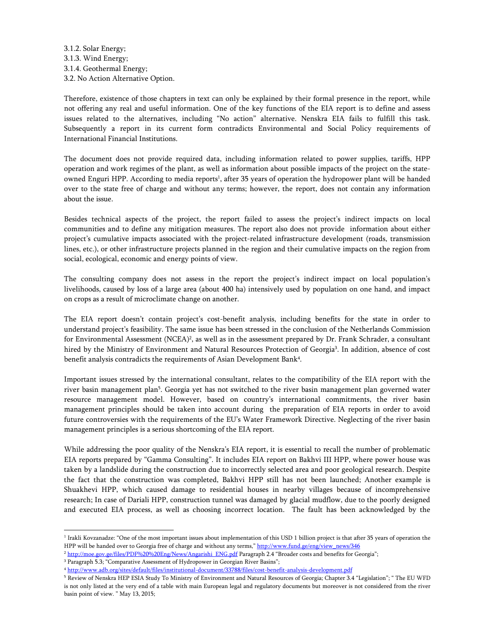3.1.2. Solar Energy; 3.1.3. Wind Energy; 3.1.4. Geothermal Energy; 3.2. No Action Alternative Option.

Therefore, existence of those chapters in text can only be explained by their formal presence in the report, while not offering any real and useful information. One of the key functions of the EIA report is to define and assess issues related to the alternatives, including "No action" alternative. Nenskra EIA fails to fulfill this task. Subsequently a report in its current form contradicts Environmental and Social Policy requirements of International Financial Institutions.

The document does not provide required data, including information related to power supplies, tariffs, HPP operation and work regimes of the plant, as well as information about possible impacts of the project on the stateowned Enguri HPP. According to media reports<sup>1</sup>, after 35 years of operation the hydropower plant will be handed over to the state free of charge and without any terms; however, the report, does not contain any information about the issue.

Besides technical aspects of the project, the report failed to assess the project's indirect impacts on local communities and to define any mitigation measures. The report also does not provide information about either project's cumulative impacts associated with the project-related infrastructure development (roads, transmission lines, etc.), or other infrastructure projects planned in the region and their cumulative impacts on the region from social, ecological, economic and energy points of view.

The consulting company does not assess in the report the project's indirect impact on local population's livelihoods, caused by loss of a large area (about 400 ha) intensively used by population on one hand, and impact on crops as a result of microclimate change on another.

The EIA report doesn't contain project's cost-benefit analysis, including benefits for the state in order to understand project's feasibility. The same issue has been stressed in the conclusion of the Netherlands Commission for Environmental Assessment (NCEA)<sup>2</sup>, as well as in the assessment prepared by Dr. Frank Schrader, a consultant hired by the Ministry of Environment and Natural Resources Protection of Georgia<sup>3</sup>. In addition, absence of cost benefit analysis contradicts the requirements of Asian Development Bank<sup>4</sup>.

Important issues stressed by the international consultant, relates to the compatibility of the EIA report with the river basin management plan<sup>5</sup>. Georgia yet has not switched to the river basin management plan governed water resource management model. However, based on country's international commitments, the river basin management principles should be taken into account during the preparation of EIA reports in order to avoid future controversies with the requirements of the EU's Water Framework Directive. Neglecting of the river basin management principles is a serious shortcoming of the EIA report.

While addressing the poor quality of the Nenskra's EIA report, it is essential to recall the number of problematic EIA reports prepared by "Gamma Consulting". It includes EIA report on Bakhvi III HPP, where power house was taken by a landslide during the construction due to incorrectly selected area and poor geological research. Despite the fact that the construction was completed, Bakhvi HPP still has not been launched; Another example is Shuakhevi HPP, which caused damage to residential houses in nearby villages because of incomprehensive research; In case of Dariali HPP, construction tunnel was damaged by glacial mudflow, due to the poorly designed and executed EIA process, as well as choosing incorrect location. The fault has been acknowledged by the

f <sup>1</sup> Irakli Kovzanadze: "One of the most important issues about implementation of this USD 1 billion project is that after 35 years of operation the HPP will be handed over to Georgia free of charge and without any terms," http://www.fund.ge/eng/view\_news/346

<sup>&</sup>lt;sup>2</sup> http://moe.gov.ge/files/PDF%20%20Eng/News/Angarishi\_ENG.pdf Paragraph 2.4 "Broader costs and benefits for Georgia"; <sup>3</sup> Paragraph 5.3; "Comparative Assessment of Hydropower in Georgian River Basins";

<sup>4</sup> http://www.adb.org/sites/default/files/institutional-document/33788/files/cost-benefit-analysis-development.pdf

<sup>5</sup> Review of Nenskra HEP ESIA Study To Ministry of Environment and Natural Resources of Georgia; Chapter 3.4 "Legislation"; " The EU WFD is not only listed at the very end of a table with main European legal and regulatory documents but moreover is not considered from the river basin point of view. " May 13, 2015;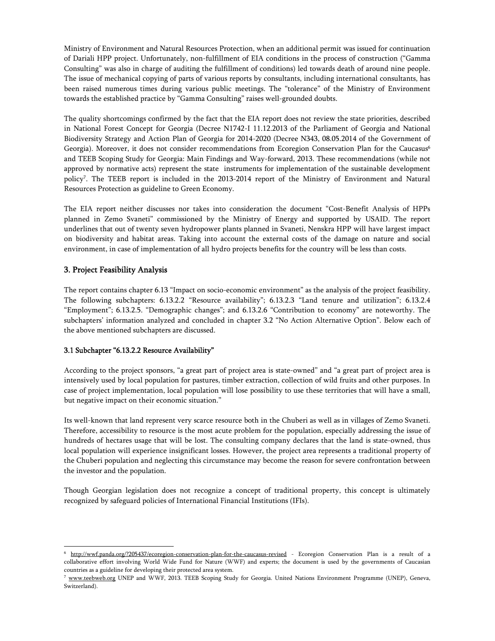Ministry of Environment and Natural Resources Protection, when an additional permit was issued for continuation of Dariali HPP project. Unfortunately, non-fulfillment of EIA conditions in the process of construction ("Gamma Consulting" was also in charge of auditing the fulfillment of conditions) led towards death of around nine people. The issue of mechanical copying of parts of various reports by consultants, including international consultants, has been raised numerous times during various public meetings. The "tolerance" of the Ministry of Environment towards the established practice by "Gamma Consulting" raises well-grounded doubts.

The quality shortcomings confirmed by the fact that the EIA report does not review the state priorities, described in National Forest Concept for Georgia (Decree N1742-I 11.12.2013 of the Parliament of Georgia and National Biodiversity Strategy and Action Plan of Georgia for 2014-2020 (Decree N343, 08.05.2014 of the Government of Georgia). Moreover, it does not consider recommendations from Ecoregion Conservation Plan for the Caucasus<sup>6</sup> and TEEB Scoping Study for Georgia: Main Findings and Way-forward, 2013. These recommendations (while not approved by normative acts) represent the state instruments for implementation of the sustainable development policy7. The TEEB report is included in the 2013-2014 report of the Ministry of Environment and Natural Resources Protection as guideline to Green Economy.

The EIA report neither discusses nor takes into consideration the document "Cost-Benefit Analysis of HPPs planned in Zemo Svaneti" commissioned by the Ministry of Energy and supported by USAID. The report underlines that out of twenty seven hydropower plants planned in Svaneti, Nenskra HPP will have largest impact on biodiversity and habitat areas. Taking into account the external costs of the damage on nature and social environment, in case of implementation of all hydro projects benefits for the country will be less than costs.

# 3. Project Feasibility Analysis

f

The report contains chapter 6.13 "Impact on socio-economic environment" as the analysis of the project feasibility. The following subchapters: 6.13.2.2 "Resource availability"; 6.13.2.3 "Land tenure and utilization"; 6.13.2.4 "Employment"; 6.13.2.5. "Demographic changes"; and 6.13.2.6 "Contribution to economy" are noteworthy. The subchapters' information analyzed and concluded in chapter 3.2 "No Action Alternative Option". Below each of the above mentioned subchapters are discussed.

### 3.1 Subchapter "6.13.2.2 Resource Availability"

According to the project sponsors, "a great part of project area is state-owned" and "a great part of project area is intensively used by local population for pastures, timber extraction, collection of wild fruits and other purposes. In case of project implementation, local population will lose possibility to use these territories that will have a small, but negative impact on their economic situation."

Its well-known that land represent very scarce resource both in the Chuberi as well as in villages of Zemo Svaneti. Therefore, accessibility to resource is the most acute problem for the population, especially addressing the issue of hundreds of hectares usage that will be lost. The consulting company declares that the land is state-owned, thus local population will experience insignificant losses. However, the project area represents a traditional property of the Chuberi population and neglecting this circumstance may become the reason for severe confrontation between the investor and the population.

Though Georgian legislation does not recognize a concept of traditional property, this concept is ultimately recognized by safeguard policies of International Financial Institutions (IFIs).

<sup>6</sup> http://wwf.panda.org/?205437/ecoregion-conservation-plan-for-the-caucasus-revised - Ecoregion Conservation Plan is a result of a collaborative effort involving World Wide Fund for Nature (WWF) and experts; the document is used by the governments of Caucasian countries as a guideline for developing their protected area system.

<sup>7</sup> www.teebweb.org UNEP and WWF, 2013. TEEB Scoping Study for Georgia. United Nations Environment Programme (UNEP), Geneva, Switzerland).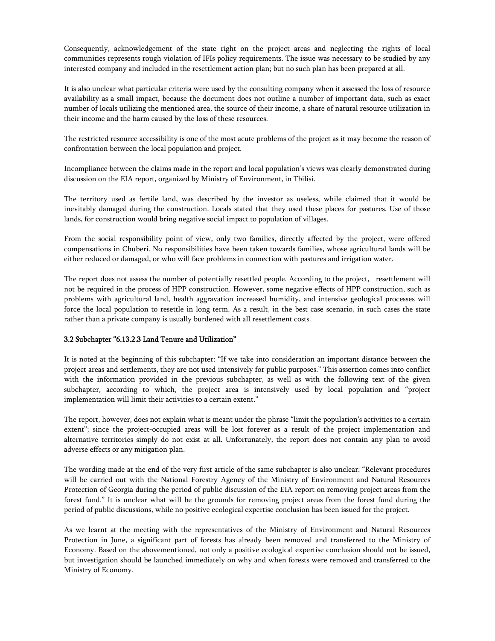Consequently, acknowledgement of the state right on the project areas and neglecting the rights of local communities represents rough violation of IFIs policy requirements. The issue was necessary to be studied by any interested company and included in the resettlement action plan; but no such plan has been prepared at all.

It is also unclear what particular criteria were used by the consulting company when it assessed the loss of resource availability as a small impact, because the document does not outline a number of important data, such as exact number of locals utilizing the mentioned area, the source of their income, a share of natural resource utilization in their income and the harm caused by the loss of these resources.

The restricted resource accessibility is one of the most acute problems of the project as it may become the reason of confrontation between the local population and project.

Incompliance between the claims made in the report and local population's views was clearly demonstrated during discussion on the EIA report, organized by Ministry of Environment, in Tbilisi.

The territory used as fertile land, was described by the investor as useless, while claimed that it would be inevitably damaged during the construction. Locals stated that they used these places for pastures. Use of those lands, for construction would bring negative social impact to population of villages.

From the social responsibility point of view, only two families, directly affected by the project, were offered compensations in Chuberi. No responsibilities have been taken towards families, whose agricultural lands will be either reduced or damaged, or who will face problems in connection with pastures and irrigation water.

The report does not assess the number of potentially resettled people. According to the project, resettlement will not be required in the process of HPP construction. However, some negative effects of HPP construction, such as problems with agricultural land, health aggravation increased humidity, and intensive geological processes will force the local population to resettle in long term. As a result, in the best case scenario, in such cases the state rather than a private company is usually burdened with all resettlement costs.

#### 3.2 Subchapter "6.13.2.3 Land Tenure and Utilization"

It is noted at the beginning of this subchapter: "If we take into consideration an important distance between the project areas and settlements, they are not used intensively for public purposes." This assertion comes into conflict with the information provided in the previous subchapter, as well as with the following text of the given subchapter, according to which, the project area is intensively used by local population and "project implementation will limit their activities to a certain extent."

The report, however, does not explain what is meant under the phrase "limit the population's activities to a certain extent"; since the project-occupied areas will be lost forever as a result of the project implementation and alternative territories simply do not exist at all. Unfortunately, the report does not contain any plan to avoid adverse effects or any mitigation plan.

The wording made at the end of the very first article of the same subchapter is also unclear: "Relevant procedures will be carried out with the National Forestry Agency of the Ministry of Environment and Natural Resources Protection of Georgia during the period of public discussion of the EIA report on removing project areas from the forest fund." It is unclear what will be the grounds for removing project areas from the forest fund during the period of public discussions, while no positive ecological expertise conclusion has been issued for the project.

As we learnt at the meeting with the representatives of the Ministry of Environment and Natural Resources Protection in June, a significant part of forests has already been removed and transferred to the Ministry of Economy. Based on the abovementioned, not only a positive ecological expertise conclusion should not be issued, but investigation should be launched immediately on why and when forests were removed and transferred to the Ministry of Economy.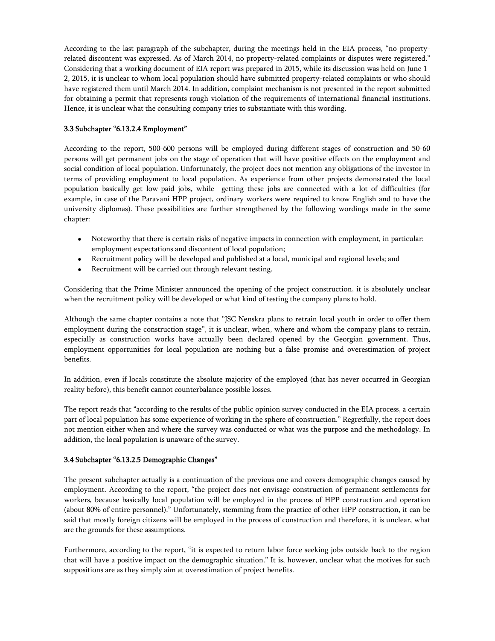According to the last paragraph of the subchapter, during the meetings held in the EIA process, "no propertyrelated discontent was expressed. As of March 2014, no property-related complaints or disputes were registered." Considering that a working document of EIA report was prepared in 2015, while its discussion was held on June 1- 2, 2015, it is unclear to whom local population should have submitted property-related complaints or who should have registered them until March 2014. In addition, complaint mechanism is not presented in the report submitted for obtaining a permit that represents rough violation of the requirements of international financial institutions. Hence, it is unclear what the consulting company tries to substantiate with this wording.

# 3.3 Subchapter "6.13.2.4 Employment"

According to the report, 500-600 persons will be employed during different stages of construction and 50-60 persons will get permanent jobs on the stage of operation that will have positive effects on the employment and social condition of local population. Unfortunately, the project does not mention any obligations of the investor in terms of providing employment to local population. As experience from other projects demonstrated the local population basically get low-paid jobs, while getting these jobs are connected with a lot of difficulties (for example, in case of the Paravani HPP project, ordinary workers were required to know English and to have the university diplomas). These possibilities are further strengthened by the following wordings made in the same chapter:

- Noteworthy that there is certain risks of negative impacts in connection with employment, in particular: employment expectations and discontent of local population;
- Recruitment policy will be developed and published at a local, municipal and regional levels; and
- Recruitment will be carried out through relevant testing.

Considering that the Prime Minister announced the opening of the project construction, it is absolutely unclear when the recruitment policy will be developed or what kind of testing the company plans to hold.

Although the same chapter contains a note that "JSC Nenskra plans to retrain local youth in order to offer them employment during the construction stage", it is unclear, when, where and whom the company plans to retrain, especially as construction works have actually been declared opened by the Georgian government. Thus, employment opportunities for local population are nothing but a false promise and overestimation of project benefits.

In addition, even if locals constitute the absolute majority of the employed (that has never occurred in Georgian reality before), this benefit cannot counterbalance possible losses.

The report reads that "according to the results of the public opinion survey conducted in the EIA process, a certain part of local population has some experience of working in the sphere of construction." Regretfully, the report does not mention either when and where the survey was conducted or what was the purpose and the methodology. In addition, the local population is unaware of the survey.

### 3.4 Subchapter "6.13.2.5 Demographic Changes"

The present subchapter actually is a continuation of the previous one and covers demographic changes caused by employment. According to the report, "the project does not envisage construction of permanent settlements for workers, because basically local population will be employed in the process of HPP construction and operation (about 80% of entire personnel)." Unfortunately, stemming from the practice of other HPP construction, it can be said that mostly foreign citizens will be employed in the process of construction and therefore, it is unclear, what are the grounds for these assumptions.

Furthermore, according to the report, "it is expected to return labor force seeking jobs outside back to the region that will have a positive impact on the demographic situation." It is, however, unclear what the motives for such suppositions are as they simply aim at overestimation of project benefits.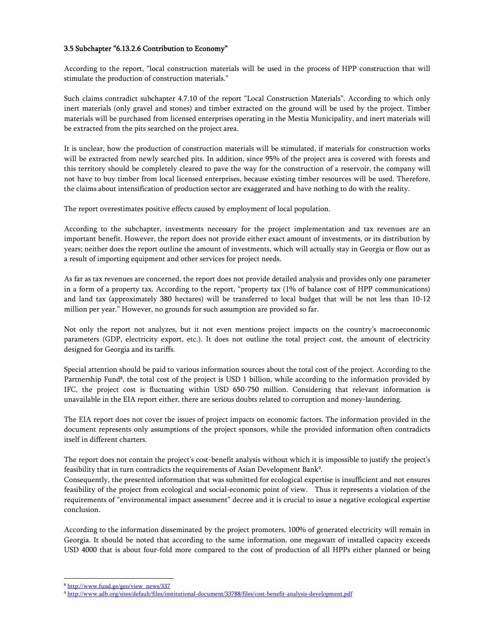### 3.5 Subchapter "6.13.2.6 Contribution to Economy"

According to the report, "local construction materials will be used in the process of HPP construction that will stimulate the production of construction materials."

Such claims contradict subchapter 4.7.10 of the report "Local Construction Materials". According to which only inert materials (only gravel and stones) and timber extracted on the ground will be used by the project. Timber materials will be purchased from licensed enterprises operating in the Mestia Municipality, and inert materials will be extracted from the pits searched on the project area.

It is unclear, how the production of construction materials will be stimulated, if materials for construction works will be extracted from newly searched pits. In addition, since 95% of the project area is covered with forests and this territory should be completely cleared to pave the way for the construction of a reservoir, the company will not have to buy timber from local licensed enterprises, because existing timber resources will be used. Therefore, the claims about intensification of production sector are exaggerated and have nothing to do with the reality.

The report overestimates positive effects caused by employment of local population.

According to the subchapter, investments necessary for the project implementation and tax revenues are an important benefit. However, the report does not provide either exact amount of investments, or its distribution by years; neither does the report outline the amount of investments, which will actually stay in Georgia or flow out as a result of importing equipment and other services for project needs.

As far as tax revenues are concerned, the report does not provide detailed analysis and provides only one parameter in a form of a property tax. According to the report, "property tax (1% of balance cost of HPP communications) and land tax (approximately 380 hectares) will be transferred to local budget that will be not less than 10-12 million per year." However, no grounds for such assumption are provided so far.

Not only the report not analyzes, but it not even mentions project impacts on the country's macroeconomic parameters (GDP, electricity export, etc.). It does not outline the total project cost, the amount of electricity designed for Georgia and its tariffs.

Special attention should be paid to various information sources about the total cost of the project. According to the Partnership Fund<sup>8</sup>, the total cost of the project is USD 1 billion, while according to the information provided by IFC, the project cost is fluctuating within USD 650-750 million. Considering that relevant information is unavailable in the EIA report either, there are serious doubts related to corruption and money-laundering.

The EIA report does not cover the issues of project impacts on economic factors. The information provided in the document represents only assumptions of the project sponsors, while the provided information often contradicts itself in different charters.

The report does not contain the project's cost-benefit analysis without which it is impossible to justify the project's feasibility that in turn contradicts the requirements of Asian Development Bank<sup>9</sup>.

Consequently, the presented information that was submitted for ecological expertise is insufficient and not ensures feasibility of the project from ecological and social-economic point of view. Thus it represents a violation of the requirements of "environmental impact assessment" decree and it is crucial to issue a negative ecological expertise conclusion.

According to the information disseminated by the project promoters, 100% of generated electricity will remain in Georgia. It should be noted that according to the same information, one megawatt of installed capacity exceeds USD 4000 that is about four-fold more compared to the cost of production of all HPPs either planned or being

<sup>8</sup> http://www.fund.ge/geo/view\_news/337

<sup>9</sup> http://www.adb.org/sites/default/files/institutional-document/33788/files/cost-benefit-analysis-development.pdf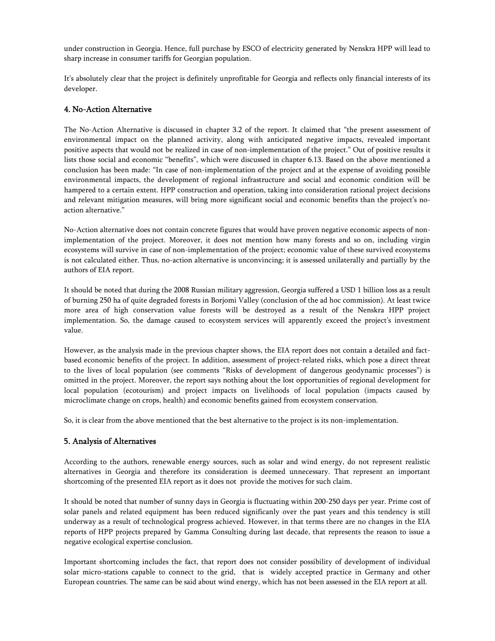under construction in Georgia. Hence, full purchase by ESCO of electricity generated by Nenskra HPP will lead to sharp increase in consumer tariffs for Georgian population.

It's absolutely clear that the project is definitely unprofitable for Georgia and reflects only financial interests of its developer.

# 4. No-Action Alternative

The No-Action Alternative is discussed in chapter 3.2 of the report. It claimed that "the present assessment of environmental impact on the planned activity, along with anticipated negative impacts, revealed important positive aspects that would not be realized in case of non-implementation of the project." Out of positive results it lists those social and economic "benefits", which were discussed in chapter 6.13. Based on the above mentioned a conclusion has been made: "In case of non-implementation of the project and at the expense of avoiding possible environmental impacts, the development of regional infrastructure and social and economic condition will be hampered to a certain extent. HPP construction and operation, taking into consideration rational project decisions and relevant mitigation measures, will bring more significant social and economic benefits than the project's noaction alternative."

No-Action alternative does not contain concrete figures that would have proven negative economic aspects of nonimplementation of the project. Moreover, it does not mention how many forests and so on, including virgin ecosystems will survive in case of non-implementation of the project; economic value of these survived ecosystems is not calculated either. Thus, no-action alternative is unconvincing; it is assessed unilaterally and partially by the authors of EIA report.

It should be noted that during the 2008 Russian military aggression, Georgia suffered a USD 1 billion loss as a result of burning 250 ha of quite degraded forests in Borjomi Valley (conclusion of the ad hoc commission). At least twice more area of high conservation value forests will be destroyed as a result of the Nenskra HPP project implementation. So, the damage caused to ecosystem services will apparently exceed the project's investment value.

However, as the analysis made in the previous chapter shows, the EIA report does not contain a detailed and factbased economic benefits of the project. In addition, assessment of project-related risks, which pose a direct threat to the lives of local population (see comments "Risks of development of dangerous geodynamic processes") is omitted in the project. Moreover, the report says nothing about the lost opportunities of regional development for local population (ecotourism) and project impacts on livelihoods of local population (impacts caused by microclimate change on crops, health) and economic benefits gained from ecosystem conservation.

So, it is clear from the above mentioned that the best alternative to the project is its non-implementation.

# 5. Analysis of Alternatives

According to the authors, renewable energy sources, such as solar and wind energy, do not represent realistic alternatives in Georgia and therefore its consideration is deemed unnecessary. That represent an important shortcoming of the presented EIA report as it does not provide the motives for such claim.

It should be noted that number of sunny days in Georgia is fluctuating within 200-250 days per year. Prime cost of solar panels and related equipment has been reduced significanly over the past years and this tendency is still underway as a result of technological progress achieved. However, in that terms there are no changes in the EIA reports of HPP projects prepared by Gamma Consulting during last decade, that represents the reason to issue a negative ecological expertise conclusion.

Important shortcoming includes the fact, that report does not consider possibility of development of individual solar micro-stations capable to connect to the grid, that is widely accepted practice in Germany and other European countries. The same can be said about wind energy, which has not been assessed in the EIA report at all.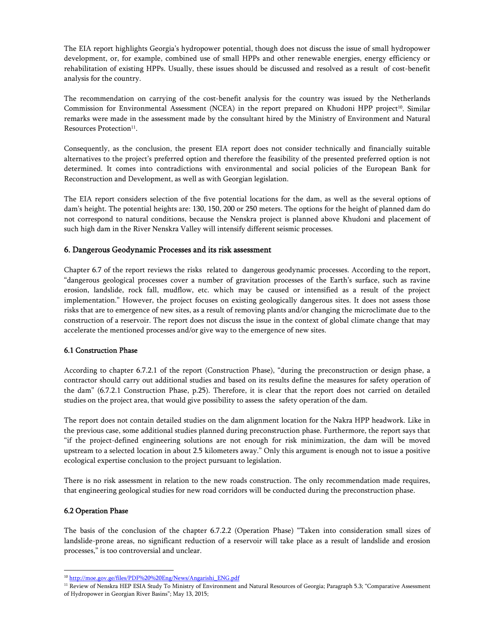The EIA report highlights Georgia's hydropower potential, though does not discuss the issue of small hydropower development, or, for example, combined use of small HPPs and other renewable energies, energy efficiency or rehabilitation of existing HPPs. Usually, these issues should be discussed and resolved as a result of cost-benefit analysis for the country.

The recommendation on carrying of the cost-benefit analysis for the country was issued by the Netherlands Commission for Environmental Assessment (NCEA) in the report prepared on Khudoni HPP project<sup>10</sup>. Similar remarks were made in the assessment made by the consultant hired by the Ministry of Environment and Natural Resources Protection<sup>11</sup>.

Consequently, as the conclusion, the present EIA report does not consider technically and financially suitable alternatives to the project's preferred option and therefore the feasibility of the presented preferred option is not determined. It comes into contradictions with environmental and social policies of the European Bank for Reconstruction and Development, as well as with Georgian legislation.

The EIA report considers selection of the five potential locations for the dam, as well as the several options of dam's height. The potential heights are: 130, 150, 200 or 250 meters. The options for the height of planned dam do not correspond to natural conditions, because the Nenskra project is planned above Khudoni and placement of such high dam in the River Nenskra Valley will intensify different seismic processes.

### 6. Dangerous Geodynamic Processes and its risk assessment

Chapter 6.7 of the report reviews the risks related to dangerous geodynamic processes. According to the report, "dangerous geological processes cover a number of gravitation processes of the Earth's surface, such as ravine erosion, landslide, rock fall, mudflow, etc. which may be caused or intensified as a result of the project implementation." However, the project focuses on existing geologically dangerous sites. It does not assess those risks that are to emergence of new sites, as a result of removing plants and/or changing the microclimate due to the construction of a reservoir. The report does not discuss the issue in the context of global climate change that may accelerate the mentioned processes and/or give way to the emergence of new sites.

### 6.1 Construction Phase

According to chapter 6.7.2.1 of the report (Construction Phase), "during the preconstruction or design phase, a contractor should carry out additional studies and based on its results define the measures for safety operation of the dam" (6.7.2.1 Construction Phase, p.25). Therefore, it is clear that the report does not carried on detailed studies on the project area, that would give possibility to assess the safety operation of the dam.

The report does not contain detailed studies on the dam alignment location for the Nakra HPP headwork. Like in the previous case, some additional studies planned during preconstruction phase. Furthermore, the report says that "if the project-defined engineering solutions are not enough for risk minimization, the dam will be moved upstream to a selected location in about 2.5 kilometers away." Only this argument is enough not to issue a positive ecological expertise conclusion to the project pursuant to legislation.

There is no risk assessment in relation to the new roads construction. The only recommendation made requires, that engineering geological studies for new road corridors will be conducted during the preconstruction phase.

#### 6.2 Operation Phase

The basis of the conclusion of the chapter 6.7.2.2 (Operation Phase) "Taken into consideration small sizes of landslide-prone areas, no significant reduction of a reservoir will take place as a result of landslide and erosion processes," is too controversial and unclear.

<sup>&</sup>lt;sup>10</sup> http://moe.gov.ge/files/PDF%20%20Eng/News/Angarishi\_ENG.pdf

<sup>&</sup>lt;sup>11</sup> Review of Nenskra HEP ESIA Study To Ministry of Environment and Natural Resources of Georgia; Paragraph 5.3; "Comparative Assessment of Hydropower in Georgian River Basins"; May 13, 2015;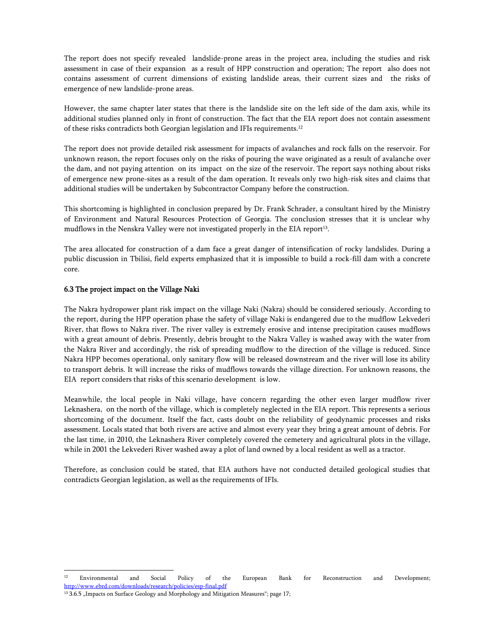The report does not specify revealed landslide-prone areas in the project area, including the studies and risk assessment in case of their expansion as a result of HPP construction and operation; The report also does not contains assessment of current dimensions of existing landslide areas, their current sizes and the risks of emergence of new landslide-prone areas.

However, the same chapter later states that there is the landslide site on the left side of the dam axis, while its additional studies planned only in front of construction. The fact that the EIA report does not contain assessment of these risks contradicts both Georgian legislation and IFIs requirements.12

The report does not provide detailed risk assessment for impacts of avalanches and rock falls on the reservoir. For unknown reason, the report focuses only on the risks of pouring the wave originated as a result of avalanche over the dam, and not paying attention on its impact on the size of the reservoir. The report says nothing about risks of emergence new prone-sites as a result of the dam operation. It reveals only two high-risk sites and claims that additional studies will be undertaken by Subcontractor Company before the construction.

This shortcoming is highlighted in conclusion prepared by Dr. Frank Schrader, a consultant hired by the Ministry of Environment and Natural Resources Protection of Georgia. The conclusion stresses that it is unclear why mudflows in the Nenskra Valley were not investigated properly in the EIA report<sup>13</sup>.

The area allocated for construction of a dam face a great danger of intensification of rocky landslides. During a public discussion in Tbilisi, field experts emphasized that it is impossible to build a rock-fill dam with a concrete core.

### 6.3 The project impact on the Village Naki

The Nakra hydropower plant risk impact on the village Naki (Nakra) should be considered seriously. According to the report, during the HPP operation phase the safety of village Naki is endangered due to the mudflow Lekvederi River, that flows to Nakra river. The river valley is extremely erosive and intense precipitation causes mudflows with a great amount of debris. Presently, debris brought to the Nakra Valley is washed away with the water from the Nakra River and accordingly, the risk of spreading mudflow to the direction of the village is reduced. Since Nakra HPP becomes operational, only sanitary flow will be released downstream and the river will lose its ability to transport debris. It will increase the risks of mudflows towards the village direction. For unknown reasons, the EIA report considers that risks of this scenario development is low.

Meanwhile, the local people in Naki village, have concern regarding the other even larger mudflow river Leknashera, on the north of the village, which is completely neglected in the EIA report. This represents a serious shortcoming of the document. Itself the fact, casts doubt on the reliability of geodynamic processes and risks assessment. Locals stated that both rivers are active and almost every year they bring a great amount of debris. For the last time, in 2010, the Leknashera River completely covered the cemetery and agricultural plots in the village, while in 2001 the Lekvederi River washed away a plot of land owned by a local resident as well as a tractor.

Therefore, as conclusion could be stated, that EIA authors have not conducted detailed geological studies that contradicts Georgian legislation, as well as the requirements of IFIs.

f

<sup>&</sup>lt;sup>12</sup> Environmental and Social Policy of the European Bank for Reconstruction and Development; http://www.ebrd.com/downloads/research/policies/esp-final.pdf

<sup>&</sup>lt;sup>13</sup> 3.6.5 "Impacts on Surface Geology and Morphology and Mitigation Measures"; page 17;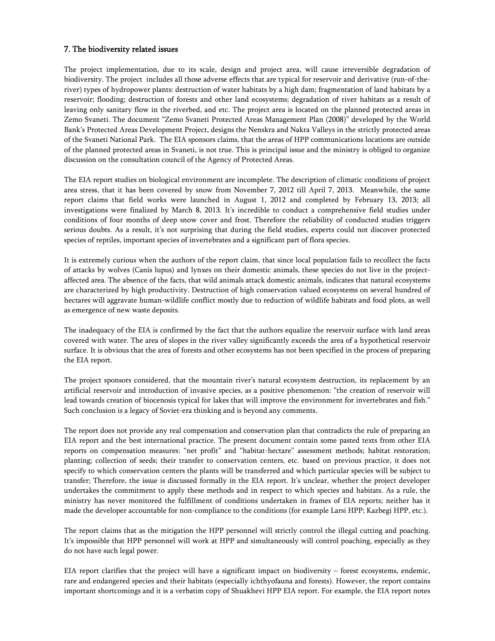# 7. The biodiversity related issues

The project implementation, due to its scale, design and project area, will cause irreversible degradation of biodiversity. The project includes all those adverse effects that are typical for reservoir and derivative (run-of-theriver) types of hydropower plants: destruction of water habitats by a high dam; fragmentation of land habitats by a reservoir; flooding; destruction of forests and other land ecosystems; degradation of river habitats as a result of leaving only sanitary flow in the riverbed, and etc. The project area is located on the planned protected areas in Zemo Svaneti. The document "Zemo Svaneti Protected Areas Management Plan (2008)" developed by the World Bank's Protected Areas Development Project, designs the Nenskra and Nakra Valleys in the strictly protected areas of the Svaneti National Park. The EIA sponsors claims, that the areas of HPP communications locations are outside of the planned protected areas in Svaneti, is not true. This is principal issue and the ministry is obliged to organize discussion on the consultation council of the Agency of Protected Areas.

The EIA report studies on biological environment are incomplete. The description of climatic conditions of project area stress, that it has been covered by snow from November 7, 2012 till April 7, 2013. Meanwhile, the same report claims that field works were launched in August 1, 2012 and completed by February 13, 2013; all investigations were finalized by March 8, 2013. It's incredible to conduct a comprehensive field studies under conditions of four months of deep snow cover and frost. Therefore the reliability of conducted studies triggers serious doubts. As a result, it's not surprising that during the field studies, experts could not discover protected species of reptiles, important species of invertebrates and a significant part of flora species.

It is extremely curious when the authors of the report claim, that since local population fails to recollect the facts of attacks by wolves (Canis lupus) and lynxes on their domestic animals, these species do not live in the projectaffected area. The absence of the facts, that wild animals attack domestic animals, indicates that natural ecosystems are characterized by high productivity. Destruction of high conservation valued ecosystems on several hundred of hectares will aggravate human-wildlife conflict mostly due to reduction of wildlife habitats and food plots, as well as emergence of new waste deposits.

The inadequacy of the EIA is confirmed by the fact that the authors equalize the reservoir surface with land areas covered with water. The area of slopes in the river valley significantly exceeds the area of a hypothetical reservoir surface. It is obvious that the area of forests and other ecosystems has not been specified in the process of preparing the EIA report.

The project sponsors considered, that the mountain river's natural ecosystem destruction, its replacement by an artificial reservoir and introduction of invasive species, as a positive phenomenon: "the creation of reservoir will lead towards creation of biocenosis typical for lakes that will improve the environment for invertebrates and fish." Such conclusion is a legacy of Soviet-era thinking and is beyond any comments.

The report does not provide any real compensation and conservation plan that contradicts the rule of preparing an EIA report and the best international practice. The present document contain some pasted texts from other EIA reports on compensation measures: "net profit" and "habitat-hectare" assessment methods; habitat restoration; planting; collection of seeds; their transfer to conservation centers, etc. based on previous practice, it does not specify to which conservation centers the plants will be transferred and which particular species will be subject to transfer; Therefore, the issue is discussed formally in the EIA report. It's unclear, whether the project developer undertakes the commitment to apply these methods and in respect to which species and habitats. As a rule, the ministry has never monitored the fulfillment of conditions undertaken in frames of EIA reports; neither has it made the developer accountable for non-compliance to the conditions (for example Larsi HPP; Kazbegi HPP, etc.).

The report claims that as the mitigation the HPP personnel will strictly control the illegal cutting and poaching. It's impossible that HPP personnel will work at HPP and simultaneously will control poaching, especially as they do not have such legal power.

EIA report clarifies that the project will have a significant impact on biodiversity – forest ecosystems, endemic, rare and endangered species and their habitats (especially ichthyofauna and forests). However, the report contains important shortcomings and it is a verbatim copy of Shuakhevi HPP EIA report. For example, the EIA report notes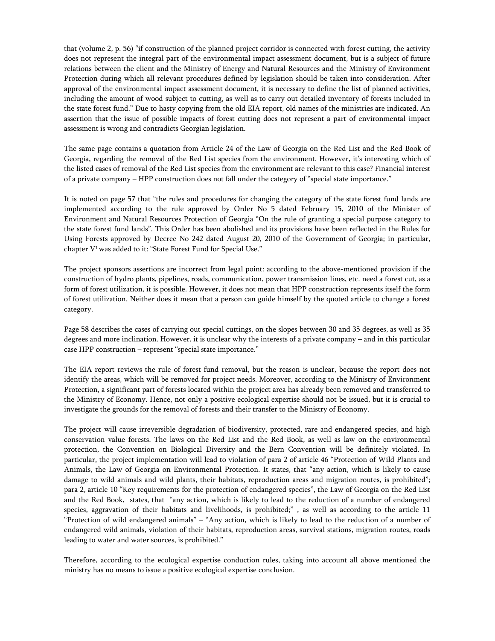that (volume 2, p. 56) "if construction of the planned project corridor is connected with forest cutting, the activity does not represent the integral part of the environmental impact assessment document, but is a subject of future relations between the client and the Ministry of Energy and Natural Resources and the Ministry of Environment Protection during which all relevant procedures defined by legislation should be taken into consideration. After approval of the environmental impact assessment document, it is necessary to define the list of planned activities, including the amount of wood subject to cutting, as well as to carry out detailed inventory of forests included in the state forest fund." Due to hasty copying from the old EIA report, old names of the ministries are indicated. An assertion that the issue of possible impacts of forest cutting does not represent a part of environmental impact assessment is wrong and contradicts Georgian legislation.

The same page contains a quotation from Article 24 of the Law of Georgia on the Red List and the Red Book of Georgia, regarding the removal of the Red List species from the environment. However, it's interesting which of the listed cases of removal of the Red List species from the environment are relevant to this case? Financial interest of a private company – HPP construction does not fall under the category of "special state importance."

It is noted on page 57 that "the rules and procedures for changing the category of the state forest fund lands are implemented according to the rule approved by Order No 5 dated February 15, 2010 of the Minister of Environment and Natural Resources Protection of Georgia "On the rule of granting a special purpose category to the state forest fund lands". This Order has been abolished and its provisions have been reflected in the Rules for Using Forests approved by Decree No 242 dated August 20, 2010 of the Government of Georgia; in particular, chapter V<sup>1</sup> was added to it: "State Forest Fund for Special Use."

The project sponsors assertions are incorrect from legal point: according to the above-mentioned provision if the construction of hydro plants, pipelines, roads, communication, power transmission lines, etc. need a forest cut, as a form of forest utilization, it is possible. However, it does not mean that HPP construction represents itself the form of forest utilization. Neither does it mean that a person can guide himself by the quoted article to change a forest category.

Page 58 describes the cases of carrying out special cuttings, on the slopes between 30 and 35 degrees, as well as 35 degrees and more inclination. However, it is unclear why the interests of a private company – and in this particular case HPP construction – represent "special state importance."

The EIA report reviews the rule of forest fund removal, but the reason is unclear, because the report does not identify the areas, which will be removed for project needs. Moreover, according to the Ministry of Environment Protection, a significant part of forests located within the project area has already been removed and transferred to the Ministry of Economy. Hence, not only a positive ecological expertise should not be issued, but it is crucial to investigate the grounds for the removal of forests and their transfer to the Ministry of Economy.

The project will cause irreversible degradation of biodiversity, protected, rare and endangered species, and high conservation value forests. The laws on the Red List and the Red Book, as well as law on the environmental protection, the Convention on Biological Diversity and the Bern Convention will be definitely violated. In particular, the project implementation will lead to violation of para 2 of article 46 "Protection of Wild Plants and Animals, the Law of Georgia on Environmental Protection. It states, that "any action, which is likely to cause damage to wild animals and wild plants, their habitats, reproduction areas and migration routes, is prohibited"; para 2, article 10 "Key requirements for the protection of endangered species", the Law of Georgia on the Red List and the Red Book, states, that "any action, which is likely to lead to the reduction of a number of endangered species, aggravation of their habitats and livelihoods, is prohibited;" , as well as according to the article 11 "Protection of wild endangered animals" – "Any action, which is likely to lead to the reduction of a number of endangered wild animals, violation of their habitats, reproduction areas, survival stations, migration routes, roads leading to water and water sources, is prohibited."

Therefore, according to the ecological expertise conduction rules, taking into account all above mentioned the ministry has no means to issue a positive ecological expertise conclusion.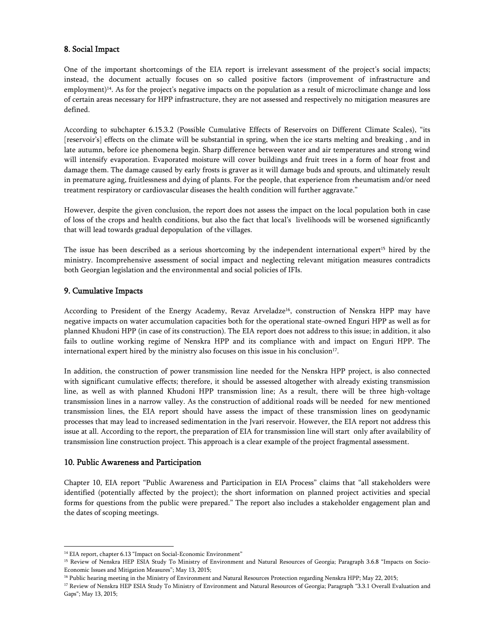# 8. Social Impact

One of the important shortcomings of the EIA report is irrelevant assessment of the project's social impacts; instead, the document actually focuses on so called positive factors (improvement of infrastructure and employment)<sup>14</sup>. As for the project's negative impacts on the population as a result of microclimate change and loss of certain areas necessary for HPP infrastructure, they are not assessed and respectively no mitigation measures are defined.

According to subchapter 6.15.3.2 (Possible Cumulative Effects of Reservoirs on Different Climate Scales), "its [reservoir's] effects on the climate will be substantial in spring, when the ice starts melting and breaking , and in late autumn, before ice phenomena begin. Sharp difference between water and air temperatures and strong wind will intensify evaporation. Evaporated moisture will cover buildings and fruit trees in a form of hoar frost and damage them. The damage caused by early frosts is graver as it will damage buds and sprouts, and ultimately result in premature aging, fruitlessness and dying of plants. For the people, that experience from rheumatism and/or need treatment respiratory or cardiovascular diseases the health condition will further aggravate."

However, despite the given conclusion, the report does not assess the impact on the local population both in case of loss of the crops and health conditions, but also the fact that local's livelihoods will be worsened significantly that will lead towards gradual depopulation of the villages.

The issue has been described as a serious shortcoming by the independent international expert<sup>15</sup> hired by the ministry. Incomprehensive assessment of social impact and neglecting relevant mitigation measures contradicts both Georgian legislation and the environmental and social policies of IFIs.

# 9. Cumulative Impacts

According to President of the Energy Academy, Revaz Arveladze<sup>16</sup>, construction of Nenskra HPP may have negative impacts on water accumulation capacities both for the operational state-owned Enguri HPP as well as for planned Khudoni HPP (in case of its construction). The EIA report does not address to this issue; in addition, it also fails to outline working regime of Nenskra HPP and its compliance with and impact on Enguri HPP. The international expert hired by the ministry also focuses on this issue in his conclusion<sup>17</sup>.

In addition, the construction of power transmission line needed for the Nenskra HPP project, is also connected with significant cumulative effects; therefore, it should be assessed altogether with already existing transmission line, as well as with planned Khudoni HPP transmission line; As a result, there will be three high-voltage transmission lines in a narrow valley. As the construction of additional roads will be needed for new mentioned transmission lines, the EIA report should have assess the impact of these transmission lines on geodynamic processes that may lead to increased sedimentation in the Jvari reservoir. However, the EIA report not address this issue at all. According to the report, the preparation of EIA for transmission line will start only after availability of transmission line construction project. This approach is a clear example of the project fragmental assessment.

### 10. Public Awareness and Participation

Chapter 10, EIA report "Public Awareness and Participation in EIA Process" claims that "all stakeholders were identified (potentially affected by the project); the short information on planned project activities and special forms for questions from the public were prepared." The report also includes a stakeholder engagement plan and the dates of scoping meetings.

f <sup>14</sup> EIA report, chapter 6.13 "Impact on Social-Economic Environment"

<sup>&</sup>lt;sup>15</sup> Review of Nenskra HEP ESIA Study To Ministry of Environment and Natural Resources of Georgia; Paragraph 3.6.8 "Impacts on Socio-Economic Issues and Mitigation Measures"; May 13, 2015;

<sup>&</sup>lt;sup>16</sup> Public hearing meeting in the Ministry of Environment and Natural Resources Protection regarding Nenskra HPP; May 22, 2015;

<sup>&</sup>lt;sup>17</sup> Review of Nenskra HEP ESIA Study To Ministry of Environment and Natural Resources of Georgia; Paragraph "3.3.1 Overall Evaluation and Gaps"; May 13, 2015;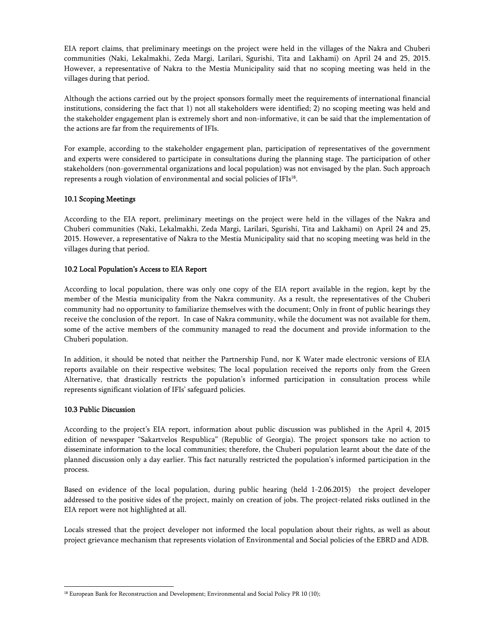EIA report claims, that preliminary meetings on the project were held in the villages of the Nakra and Chuberi communities (Naki, Lekalmakhi, Zeda Margi, Larilari, Sgurishi, Tita and Lakhami) on April 24 and 25, 2015. However, a representative of Nakra to the Mestia Municipality said that no scoping meeting was held in the villages during that period.

Although the actions carried out by the project sponsors formally meet the requirements of international financial institutions, considering the fact that 1) not all stakeholders were identified; 2) no scoping meeting was held and the stakeholder engagement plan is extremely short and non-informative, it can be said that the implementation of the actions are far from the requirements of IFIs.

For example, according to the stakeholder engagement plan, participation of representatives of the government and experts were considered to participate in consultations during the planning stage. The participation of other stakeholders (non-governmental organizations and local population) was not envisaged by the plan. Such approach represents a rough violation of environmental and social policies of IFIs18.

### 10.1 Scoping Meetings

According to the EIA report, preliminary meetings on the project were held in the villages of the Nakra and Chuberi communities (Naki, Lekalmakhi, Zeda Margi, Larilari, Sgurishi, Tita and Lakhami) on April 24 and 25, 2015. However, a representative of Nakra to the Mestia Municipality said that no scoping meeting was held in the villages during that period.

# 10.2 Local Population's Access to EIA Report

According to local population, there was only one copy of the EIA report available in the region, kept by the member of the Mestia municipality from the Nakra community. As a result, the representatives of the Chuberi community had no opportunity to familiarize themselves with the document; Only in front of public hearings they receive the conclusion of the report. In case of Nakra community, while the document was not available for them, some of the active members of the community managed to read the document and provide information to the Chuberi population.

In addition, it should be noted that neither the Partnership Fund, nor K Water made electronic versions of EIA reports available on their respective websites; The local population received the reports only from the Green Alternative, that drastically restricts the population's informed participation in consultation process while represents significant violation of IFIs' safeguard policies.

### 10.3 Public Discussion

According to the project's EIA report, information about public discussion was published in the April 4, 2015 edition of newspaper "Sakartvelos Respublica" (Republic of Georgia). The project sponsors take no action to disseminate information to the local communities; therefore, the Chuberi population learnt about the date of the planned discussion only a day earlier. This fact naturally restricted the population's informed participation in the process.

Based on evidence of the local population, during public hearing (held 1-2.06.2015) the project developer addressed to the positive sides of the project, mainly on creation of jobs. The project-related risks outlined in the EIA report were not highlighted at all.

Locals stressed that the project developer not informed the local population about their rights, as well as about project grievance mechanism that represents violation of Environmental and Social policies of the EBRD and ADB.

f <sup>18</sup> European Bank for Reconstruction and Development; Environmental and Social Policy PR 10 (10);